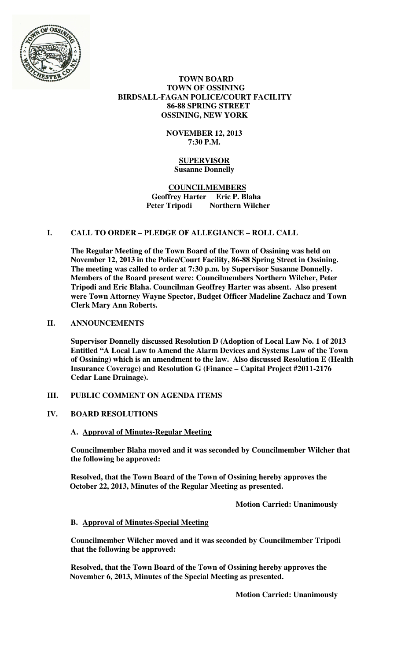

#### **TOWN BOARD TOWN OF OSSINING BIRDSALL-FAGAN POLICE/COURT FACILITY 86-88 SPRING STREET OSSINING, NEW YORK**

### **NOVEMBER 12, 2013 7:30 P.M.**

#### **SUPERVISOR Susanne Donnelly**

#### **COUNCILMEMBERS Geoffrey Harter Eric P. Blaha Peter Tripodi Northern Wilcher**

## **I. CALL TO ORDER – PLEDGE OF ALLEGIANCE – ROLL CALL**

**The Regular Meeting of the Town Board of the Town of Ossining was held on November 12, 2013 in the Police/Court Facility, 86-88 Spring Street in Ossining. The meeting was called to order at 7:30 p.m. by Supervisor Susanne Donnelly. Members of the Board present were: Councilmembers Northern Wilcher, Peter Tripodi and Eric Blaha. Councilman Geoffrey Harter was absent. Also present were Town Attorney Wayne Spector, Budget Officer Madeline Zachacz and Town Clerk Mary Ann Roberts.** 

### **II. ANNOUNCEMENTS**

**Supervisor Donnelly discussed Resolution D (Adoption of Local Law No. 1 of 2013 Entitled "A Local Law to Amend the Alarm Devices and Systems Law of the Town of Ossining) which is an amendment to the law. Also discussed Resolution E (Health Insurance Coverage) and Resolution G (Finance – Capital Project #2011-2176 Cedar Lane Drainage).** 

#### **III. PUBLIC COMMENT ON AGENDA ITEMS**

#### **IV. BOARD RESOLUTIONS**

#### **A. Approval of Minutes-Regular Meeting**

**Councilmember Blaha moved and it was seconded by Councilmember Wilcher that the following be approved:** 

**Resolved, that the Town Board of the Town of Ossining hereby approves the October 22, 2013, Minutes of the Regular Meeting as presented.** 

 **Motion Carried: Unanimously** 

#### **B. Approval of Minutes-Special Meeting**

**Councilmember Wilcher moved and it was seconded by Councilmember Tripodi that the following be approved:** 

**Resolved, that the Town Board of the Town of Ossining hereby approves the November 6, 2013, Minutes of the Special Meeting as presented.** 

 **Motion Carried: Unanimously**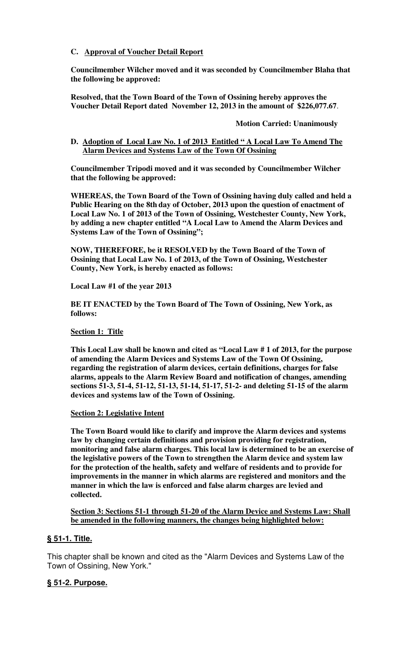### **C. Approval of Voucher Detail Report**

**Councilmember Wilcher moved and it was seconded by Councilmember Blaha that the following be approved:** 

**Resolved, that the Town Board of the Town of Ossining hereby approves the Voucher Detail Report dated November 12, 2013 in the amount of \$226,077.67**.

**Motion Carried: Unanimously** 

### **D. Adoption of Local Law No. 1 of 2013 Entitled " A Local Law To Amend The Alarm Devices and Systems Law of the Town Of Ossining**

**Councilmember Tripodi moved and it was seconded by Councilmember Wilcher that the following be approved:** 

**WHEREAS, the Town Board of the Town of Ossining having duly called and held a Public Hearing on the 8th day of October, 2013 upon the question of enactment of Local Law No. 1 of 2013 of the Town of Ossining, Westchester County, New York, by adding a new chapter entitled "A Local Law to Amend the Alarm Devices and Systems Law of the Town of Ossining";** 

**NOW, THEREFORE, be it RESOLVED by the Town Board of the Town of Ossining that Local Law No. 1 of 2013, of the Town of Ossining, Westchester County, New York, is hereby enacted as follows:** 

**Local Law #1 of the year 2013** 

**BE IT ENACTED by the Town Board of The Town of Ossining, New York, as follows:** 

#### **Section 1: Title**

**This Local Law shall be known and cited as "Local Law # 1 of 2013, for the purpose of amending the Alarm Devices and Systems Law of the Town Of Ossining, regarding the registration of alarm devices, certain definitions, charges for false alarms, appeals to the Alarm Review Board and notification of changes, amending sections 51-3, 51-4, 51-12, 51-13, 51-14, 51-17, 51-2- and deleting 51-15 of the alarm devices and systems law of the Town of Ossining.** 

#### **Section 2: Legislative Intent**

**The Town Board would like to clarify and improve the Alarm devices and systems law by changing certain definitions and provision providing for registration, monitoring and false alarm charges. This local law is determined to be an exercise of the legislative powers of the Town to strengthen the Alarm device and system law for the protection of the health, safety and welfare of residents and to provide for improvements in the manner in which alarms are registered and monitors and the manner in which the law is enforced and false alarm charges are levied and collected.** 

**Section 3: Sections 51-1 through 51-20 of the Alarm Device and Systems Law: Shall be amended in the following manners, the changes being highlighted below:**

#### **§ 51-1. Title.**

This chapter shall be known and cited as the "Alarm Devices and Systems Law of the Town of Ossining, New York."

## **§ 51-2. Purpose.**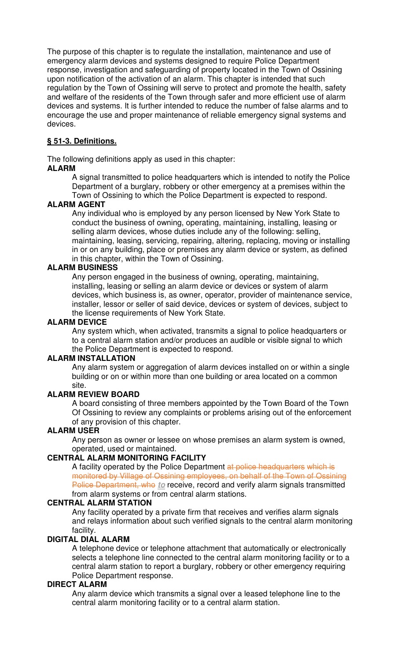The purpose of this chapter is to regulate the installation, maintenance and use of emergency alarm devices and systems designed to require Police Department response, investigation and safeguarding of property located in the Town of Ossining upon notification of the activation of an alarm. This chapter is intended that such regulation by the Town of Ossining will serve to protect and promote the health, safety and welfare of the residents of the Town through safer and more efficient use of alarm devices and systems. It is further intended to reduce the number of false alarms and to encourage the use and proper maintenance of reliable emergency signal systems and devices.

## **§ 51-3. Definitions.**

The following definitions apply as used in this chapter:

## **ALARM**

A signal transmitted to police headquarters which is intended to notify the Police Department of a burglary, robbery or other emergency at a premises within the Town of Ossining to which the Police Department is expected to respond.

### **ALARM AGENT**

Any individual who is employed by any person licensed by New York State to conduct the business of owning, operating, maintaining, installing, leasing or selling alarm devices, whose duties include any of the following: selling, maintaining, leasing, servicing, repairing, altering, replacing, moving or installing in or on any building, place or premises any alarm device or system, as defined in this chapter, within the Town of Ossining.

### **ALARM BUSINESS**

Any person engaged in the business of owning, operating, maintaining, installing, leasing or selling an alarm device or devices or system of alarm devices, which business is, as owner, operator, provider of maintenance service, installer, lessor or seller of said device, devices or system of devices, subject to the license requirements of New York State.

#### **ALARM DEVICE**

Any system which, when activated, transmits a signal to police headquarters or to a central alarm station and/or produces an audible or visible signal to which the Police Department is expected to respond.

#### **ALARM INSTALLATION**

Any alarm system or aggregation of alarm devices installed on or within a single building or on or within more than one building or area located on a common site.

## **ALARM REVIEW BOARD**

A board consisting of three members appointed by the Town Board of the Town Of Ossining to review any complaints or problems arising out of the enforcement of any provision of this chapter.

## **ALARM USER**

Any person as owner or lessee on whose premises an alarm system is owned, operated, used or maintained.

## **CENTRAL ALARM MONITORING FACILITY**

A facility operated by the Police Department at police headquarters which is monitored by Village of Ossining employees, on behalf of the Town of Ossining Police Department, who to receive, record and verify alarm signals transmitted from alarm systems or from central alarm stations.

#### **CENTRAL ALARM STATION**

Any facility operated by a private firm that receives and verifies alarm signals and relays information about such verified signals to the central alarm monitoring facility.

## **DIGITAL DIAL ALARM**

A telephone device or telephone attachment that automatically or electronically selects a telephone line connected to the central alarm monitoring facility or to a central alarm station to report a burglary, robbery or other emergency requiring Police Department response.

#### **DIRECT ALARM**

Any alarm device which transmits a signal over a leased telephone line to the central alarm monitoring facility or to a central alarm station.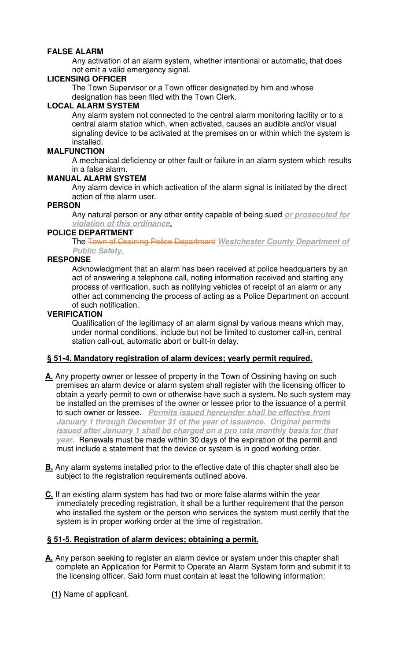## **FALSE ALARM**

Any activation of an alarm system, whether intentional or automatic, that does not emit a valid emergency signal.

## **LICENSING OFFICER**

The Town Supervisor or a Town officer designated by him and whose designation has been filed with the Town Clerk.

### **LOCAL ALARM SYSTEM**

Any alarm system not connected to the central alarm monitoring facility or to a central alarm station which, when activated, causes an audible and/or visual signaling device to be activated at the premises on or within which the system is installed.

## **MALFUNCTION**

A mechanical deficiency or other fault or failure in an alarm system which results in a false alarm.

### **MANUAL ALARM SYSTEM**

Any alarm device in which activation of the alarm signal is initiated by the direct action of the alarm user.

### **PERSON**

Any natural person or any other entity capable of being sued **or prosecuted for violation of this ordinance**.

### **POLICE DEPARTMENT**

The Town of Ossining Police Department **Westchester County Department of Public Safety**.

### **RESPONSE**

Acknowledgment that an alarm has been received at police headquarters by an act of answering a telephone call, noting information received and starting any process of verification, such as notifying vehicles of receipt of an alarm or any other act commencing the process of acting as a Police Department on account of such notification.

## **VERIFICATION**

Qualification of the legitimacy of an alarm signal by various means which may, under normal conditions, include but not be limited to customer call-in, central station call-out, automatic abort or built-in delay.

## **§ 51-4. Mandatory registration of alarm devices; yearly permit required.**

- **A.** Any property owner or lessee of property in the Town of Ossining having on such premises an alarm device or alarm system shall register with the licensing officer to obtain a yearly permit to own or otherwise have such a system. No such system may be installed on the premises of the owner or lessee prior to the issuance of a permit to such owner or lessee. **Permits issued hereunder shall be effective from January 1 through December 31 of the year of issuance. Original permits issued after January 1 shall be charged on a pro rata monthly basis for that year.** Renewals must be made within 30 days of the expiration of the permit and must include a statement that the device or system is in good working order.
- **B.** Any alarm systems installed prior to the effective date of this chapter shall also be subject to the registration requirements outlined above.
- **C.** If an existing alarm system has had two or more false alarms within the year immediately preceding registration, it shall be a further requirement that the person who installed the system or the person who services the system must certify that the system is in proper working order at the time of registration.

## **§ 51-5. Registration of alarm devices; obtaining a permit.**

**A.** Any person seeking to register an alarm device or system under this chapter shall complete an Application for Permit to Operate an Alarm System form and submit it to the licensing officer. Said form must contain at least the following information:

**(1)** Name of applicant.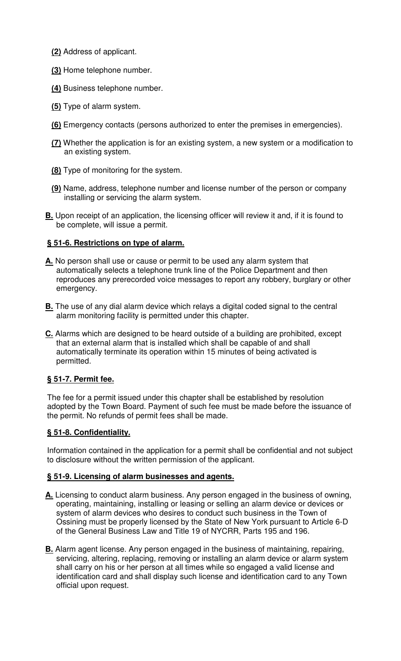- **(2)** Address of applicant.
- **(3)** Home telephone number.
- **(4)** Business telephone number.
- **(5)** Type of alarm system.
- **(6)** Emergency contacts (persons authorized to enter the premises in emergencies).
- **(7)** Whether the application is for an existing system, a new system or a modification to an existing system.
- **(8)** Type of monitoring for the system.
- **(9)** Name, address, telephone number and license number of the person or company installing or servicing the alarm system.
- **B.** Upon receipt of an application, the licensing officer will review it and, if it is found to be complete, will issue a permit.

# **§ 51-6. Restrictions on type of alarm.**

- **A.** No person shall use or cause or permit to be used any alarm system that automatically selects a telephone trunk line of the Police Department and then reproduces any prerecorded voice messages to report any robbery, burglary or other emergency.
- **B.** The use of any dial alarm device which relays a digital coded signal to the central alarm monitoring facility is permitted under this chapter.
- **C.** Alarms which are designed to be heard outside of a building are prohibited, except that an external alarm that is installed which shall be capable of and shall automatically terminate its operation within 15 minutes of being activated is permitted.

## **§ 51-7. Permit fee.**

The fee for a permit issued under this chapter shall be established by resolution adopted by the Town Board. Payment of such fee must be made before the issuance of the permit. No refunds of permit fees shall be made.

# **§ 51-8. Confidentiality.**

Information contained in the application for a permit shall be confidential and not subject to disclosure without the written permission of the applicant.

## **§ 51-9. Licensing of alarm businesses and agents.**

- **A.** Licensing to conduct alarm business. Any person engaged in the business of owning, operating, maintaining, installing or leasing or selling an alarm device or devices or system of alarm devices who desires to conduct such business in the Town of Ossining must be properly licensed by the State of New York pursuant to Article 6-D of the General Business Law and Title 19 of NYCRR, Parts 195 and 196.
- **B.** Alarm agent license. Any person engaged in the business of maintaining, repairing, servicing, altering, replacing, removing or installing an alarm device or alarm system shall carry on his or her person at all times while so engaged a valid license and identification card and shall display such license and identification card to any Town official upon request.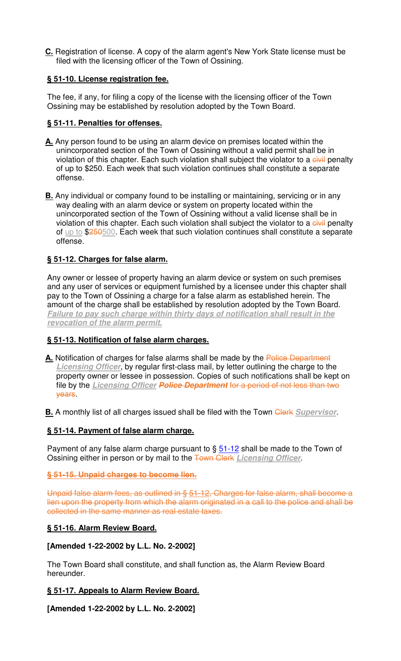**C.** Registration of license. A copy of the alarm agent's New York State license must be filed with the licensing officer of the Town of Ossining.

# **§ 51-10. License registration fee.**

The fee, if any, for filing a copy of the license with the licensing officer of the Town Ossining may be established by resolution adopted by the Town Board.

# **§ 51-11. Penalties for offenses.**

- **A.** Any person found to be using an alarm device on premises located within the unincorporated section of the Town of Ossining without a valid permit shall be in violation of this chapter. Each such violation shall subject the violator to a civil penalty of up to \$250. Each week that such violation continues shall constitute a separate offense.
- **B.** Any individual or company found to be installing or maintaining, servicing or in any way dealing with an alarm device or system on property located within the unincorporated section of the Town of Ossining without a valid license shall be in violation of this chapter. Each such violation shall subject the violator to a civil penalty of up to \$250500. Each week that such violation continues shall constitute a separate offense.

# **§ 51-12. Charges for false alarm.**

Any owner or lessee of property having an alarm device or system on such premises and any user of services or equipment furnished by a licensee under this chapter shall pay to the Town of Ossining a charge for a false alarm as established herein. The amount of the charge shall be established by resolution adopted by the Town Board. **Failure to pay such charge within thirty days of notification shall result in the revocation of the alarm permit.**

## **§ 51-13. Notification of false alarm charges.**

A. Notification of charges for false alarms shall be made by the Police Department **Licensing Officer**, by regular first-class mail, by letter outlining the charge to the property owner or lessee in possession. Copies of such notifications shall be kept on file by the **Licensing Officer Police Department** for a period of not less than two years.

**B.** A monthly list of all charges issued shall be filed with the Town Clerk Supervisor.

## **§ 51-14. Payment of false alarm charge.**

Payment of any false alarm charge pursuant to  $\S 51-12$  shall be made to the Town of Ossining either in person or by mail to the Town Clerk **Licensing Officer**.

## **§ 51-15. Unpaid charges to become lien.**

Unpaid false alarm fees, as outlined in § 51-12, Charges for false alarm, shall become a lien upon the property from which the alarm originated in a call to the police and shall be collected in the same manner as real estate taxes.

## **§ 51-16. Alarm Review Board.**

## **[Amended 1-22-2002 by L.L. No. 2-2002]**

The Town Board shall constitute, and shall function as, the Alarm Review Board hereunder.

## **§ 51-17. Appeals to Alarm Review Board.**

**[Amended 1-22-2002 by L.L. No. 2-2002]**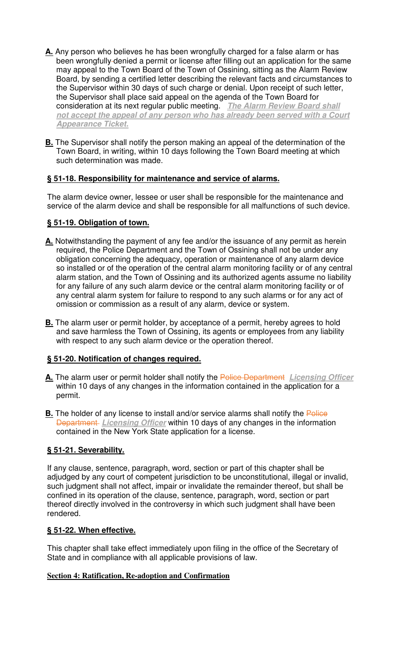- **A.** Any person who believes he has been wrongfully charged for a false alarm or has been wrongfully denied a permit or license after filling out an application for the same may appeal to the Town Board of the Town of Ossining, sitting as the Alarm Review Board, by sending a certified letter describing the relevant facts and circumstances to the Supervisor within 30 days of such charge or denial. Upon receipt of such letter, the Supervisor shall place said appeal on the agenda of the Town Board for consideration at its next regular public meeting. **The Alarm Review Board shall not accept the appeal of any person who has already been served with a Court Appearance Ticket.**
- **B.** The Supervisor shall notify the person making an appeal of the determination of the Town Board, in writing, within 10 days following the Town Board meeting at which such determination was made.

# **§ 51-18. Responsibility for maintenance and service of alarms.**

The alarm device owner, lessee or user shall be responsible for the maintenance and service of the alarm device and shall be responsible for all malfunctions of such device.

# **§ 51-19. Obligation of town.**

- **A.** Notwithstanding the payment of any fee and/or the issuance of any permit as herein required, the Police Department and the Town of Ossining shall not be under any obligation concerning the adequacy, operation or maintenance of any alarm device so installed or of the operation of the central alarm monitoring facility or of any central alarm station, and the Town of Ossining and its authorized agents assume no liability for any failure of any such alarm device or the central alarm monitoring facility or of any central alarm system for failure to respond to any such alarms or for any act of omission or commission as a result of any alarm, device or system.
- **B.** The alarm user or permit holder, by acceptance of a permit, hereby agrees to hold and save harmless the Town of Ossining, its agents or employees from any liability with respect to any such alarm device or the operation thereof.

## **§ 51-20. Notification of changes required.**

- **A.** The alarm user or permit holder shall notify the Police Department **Licensing Officer** within 10 days of any changes in the information contained in the application for a permit.
- **B.** The holder of any license to install and/or service alarms shall notify the Police Department **Licensing Officer** within 10 days of any changes in the information contained in the New York State application for a license.

# **§ 51-21. Severability.**

If any clause, sentence, paragraph, word, section or part of this chapter shall be adjudged by any court of competent jurisdiction to be unconstitutional, illegal or invalid, such judgment shall not affect, impair or invalidate the remainder thereof, but shall be confined in its operation of the clause, sentence, paragraph, word, section or part thereof directly involved in the controversy in which such judgment shall have been rendered.

## **§ 51-22. When effective.**

This chapter shall take effect immediately upon filing in the office of the Secretary of State and in compliance with all applicable provisions of law.

## **Section 4: Ratification, Re-adoption and Confirmation**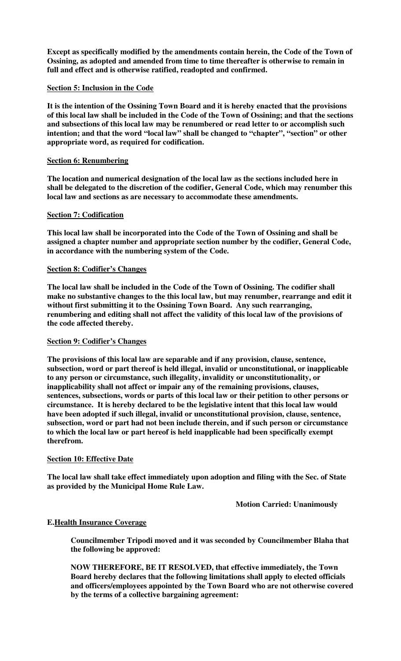**Except as specifically modified by the amendments contain herein, the Code of the Town of Ossining, as adopted and amended from time to time thereafter is otherwise to remain in full and effect and is otherwise ratified, readopted and confirmed.** 

#### **Section 5: Inclusion in the Code**

**It is the intention of the Ossining Town Board and it is hereby enacted that the provisions of this local law shall be included in the Code of the Town of Ossining; and that the sections and subsections of this local law may be renumbered or read letter to or accomplish such intention; and that the word "local law" shall be changed to "chapter", "section" or other appropriate word, as required for codification.** 

#### **Section 6: Renumbering**

**The location and numerical designation of the local law as the sections included here in shall be delegated to the discretion of the codifier, General Code, which may renumber this local law and sections as are necessary to accommodate these amendments.** 

#### **Section 7: Codification**

**This local law shall be incorporated into the Code of the Town of Ossining and shall be assigned a chapter number and appropriate section number by the codifier, General Code, in accordance with the numbering system of the Code.** 

#### **Section 8: Codifier's Changes**

**The local law shall be included in the Code of the Town of Ossining. The codifier shall make no substantive changes to the this local law, but may renumber, rearrange and edit it without first submitting it to the Ossining Town Board. Any such rearranging, renumbering and editing shall not affect the validity of this local law of the provisions of the code affected thereby.** 

#### **Section 9: Codifier's Changes**

**The provisions of this local law are separable and if any provision, clause, sentence, subsection, word or part thereof is held illegal, invalid or unconstitutional, or inapplicable to any person or circumstance, such illegality, invalidity or unconstitutionality, or inapplicability shall not affect or impair any of the remaining provisions, clauses, sentences, subsections, words or parts of this local law or their petition to other persons or circumstance. It is hereby declared to be the legislative intent that this local law would have been adopted if such illegal, invalid or unconstitutional provision, clause, sentence, subsection, word or part had not been include therein, and if such person or circumstance to which the local law or part hereof is held inapplicable had been specifically exempt therefrom.** 

#### **Section 10: Effective Date**

**The local law shall take effect immediately upon adoption and filing with the Sec. of State as provided by the Municipal Home Rule Law.** 

 **Motion Carried: Unanimously** 

#### **E.Health Insurance Coverage**

**Councilmember Tripodi moved and it was seconded by Councilmember Blaha that the following be approved:** 

**NOW THEREFORE, BE IT RESOLVED, that effective immediately, the Town Board hereby declares that the following limitations shall apply to elected officials and officers/employees appointed by the Town Board who are not otherwise covered by the terms of a collective bargaining agreement:**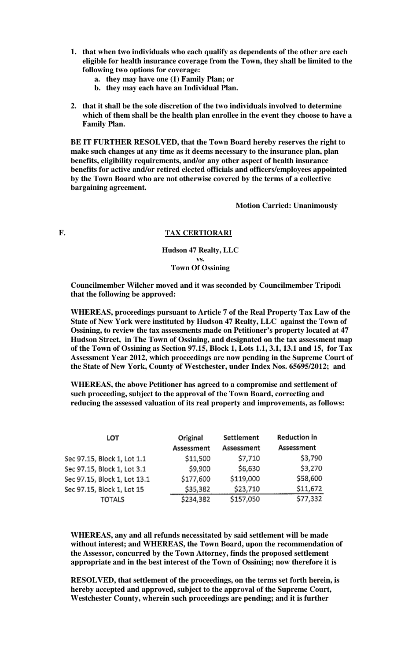- **1. that when two individuals who each qualify as dependents of the other are each eligible for health insurance coverage from the Town, they shall be limited to the following two options for coverage:** 
	- **a. they may have one (1) Family Plan; or**
	- **b. they may each have an Individual Plan.**
- **2. that it shall be the sole discretion of the two individuals involved to determine which of them shall be the health plan enrollee in the event they choose to have a Family Plan.**

**BE IT FURTHER RESOLVED, that the Town Board hereby reserves the right to make such changes at any time as it deems necessary to the insurance plan, plan benefits, eligibility requirements, and/or any other aspect of health insurance benefits for active and/or retired elected officials and officers/employees appointed by the Town Board who are not otherwise covered by the terms of a collective bargaining agreement.** 

 **Motion Carried: Unanimously** 

## **F. TAX CERTIORARI**

**Hudson 47 Realty, LLC vs. Town Of Ossining**

**Councilmember Wilcher moved and it was seconded by Councilmember Tripodi that the following be approved:** 

**WHEREAS, proceedings pursuant to Article 7 of the Real Property Tax Law of the State of New York were instituted by Hudson 47 Realty, LLC against the Town of Ossining, to review the tax assessments made on Petitioner's property located at 47 Hudson Street, in The Town of Ossining, and designated on the tax assessment map of the Town of Ossining as Section 97.15, Block 1, Lots 1.1, 3.1, 13.1 and 15, for Tax Assessment Year 2012, which proceedings are now pending in the Supreme Court of the State of New York, County of Westchester, under Index Nos. 65695/2012; and** 

**WHEREAS, the above Petitioner has agreed to a compromise and settlement of such proceeding, subject to the approval of the Town Board, correcting and reducing the assessed valuation of its real property and improvements, as follows:**

| LOT                          | Original   | Settlement | <b>Reduction in</b> |
|------------------------------|------------|------------|---------------------|
|                              | Assessment | Assessment | Assessment          |
| Sec 97.15, Block 1, Lot 1.1  | \$11,500   | \$7,710    | \$3,790             |
| Sec 97.15, Block 1, Lot 3.1  | \$9,900    | \$6,630    | \$3,270             |
| Sec 97.15, Block 1, Lot 13.1 | \$177,600  | \$119,000  | \$58,600            |
| Sec 97.15, Block 1, Lot 15   | \$35,382   | \$23,710   | \$11,672            |
| TOTALS                       | \$234,382  | \$157,050  | \$77,332            |

**WHEREAS, any and all refunds necessitated by said settlement will be made without interest; and WHEREAS, the Town Board, upon the recommendation of the Assessor, concurred by the Town Attorney, finds the proposed settlement appropriate and in the best interest of the Town of Ossining; now therefore it is** 

**RESOLVED, that settlement of the proceedings, on the terms set forth herein, is hereby accepted and approved, subject to the approval of the Supreme Court, Westchester County, wherein such proceedings are pending; and it is further**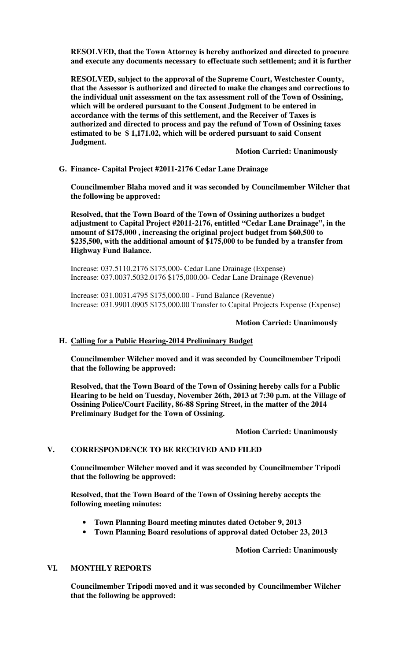**RESOLVED, that the Town Attorney is hereby authorized and directed to procure and execute any documents necessary to effectuate such settlement; and it is further** 

**RESOLVED, subject to the approval of the Supreme Court, Westchester County, that the Assessor is authorized and directed to make the changes and corrections to the individual unit assessment on the tax assessment roll of the Town of Ossining, which will be ordered pursuant to the Consent Judgment to be entered in accordance with the terms of this settlement, and the Receiver of Taxes is authorized and directed to process and pay the refund of Town of Ossining taxes estimated to be \$ 1,171.02, which will be ordered pursuant to said Consent Judgment.** 

 **Motion Carried: Unanimously** 

#### **G. Finance- Capital Project #2011-2176 Cedar Lane Drainage**

**Councilmember Blaha moved and it was seconded by Councilmember Wilcher that the following be approved:** 

**Resolved, that the Town Board of the Town of Ossining authorizes a budget adjustment to Capital Project #2011-2176, entitled "Cedar Lane Drainage", in the amount of \$175,000 , increasing the original project budget from \$60,500 to \$235,500, with the additional amount of \$175,000 to be funded by a transfer from Highway Fund Balance.**

Increase: 037.5110.2176 \$175,000- Cedar Lane Drainage (Expense) Increase: 037.0037.5032.0176 \$175,000.00- Cedar Lane Drainage (Revenue)

Increase: 031.0031.4795 \$175,000.00 - Fund Balance (Revenue) Increase: 031.9901.0905 \$175,000.00 Transfer to Capital Projects Expense (Expense)

#### **Motion Carried: Unanimously**

#### **H. Calling for a Public Hearing-2014 Preliminary Budget**

**Councilmember Wilcher moved and it was seconded by Councilmember Tripodi that the following be approved:** 

**Resolved, that the Town Board of the Town of Ossining hereby calls for a Public Hearing to be held on Tuesday, November 26th, 2013 at 7:30 p.m. at the Village of Ossining Police/Court Facility, 86-88 Spring Street, in the matter of the 2014 Preliminary Budget for the Town of Ossining.** 

#### **Motion Carried: Unanimously**

#### **V. CORRESPONDENCE TO BE RECEIVED AND FILED**

**Councilmember Wilcher moved and it was seconded by Councilmember Tripodi that the following be approved:** 

**Resolved, that the Town Board of the Town of Ossining hereby accepts the following meeting minutes:** 

- **Town Planning Board meeting minutes dated October 9, 2013**
- **Town Planning Board resolutions of approval dated October 23, 2013**

 **Motion Carried: Unanimously**

#### **VI. MONTHLY REPORTS**

**Councilmember Tripodi moved and it was seconded by Councilmember Wilcher that the following be approved:**